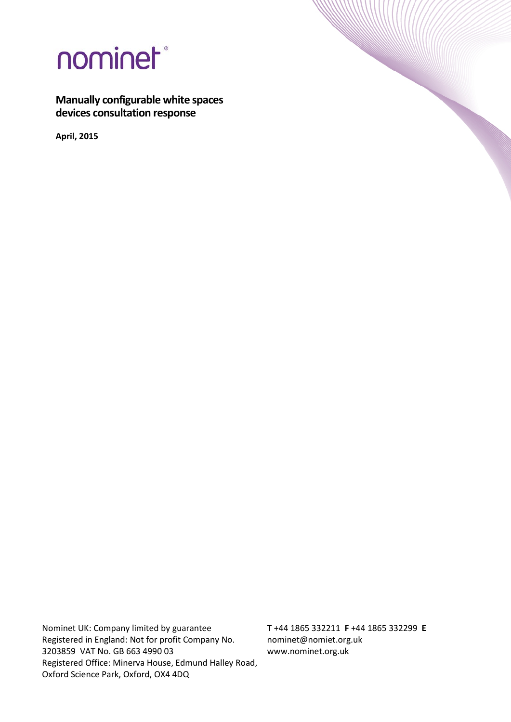

**Manually configurable white spaces devices consultation response**

**April, 2015**

Nominet UK: Company limited by guarantee Registered in England: Not for profit Company No. 3203859 VAT No. GB 663 4990 03 Registered Office: Minerva House, Edmund Halley Road, Oxford Science Park, Oxford, OX4 4DQ

**T** +44 1865 332211 **F** +44 1865 332299 **E**  nominet@nomiet.org.uk www.nominet.org.uk

**WANNER**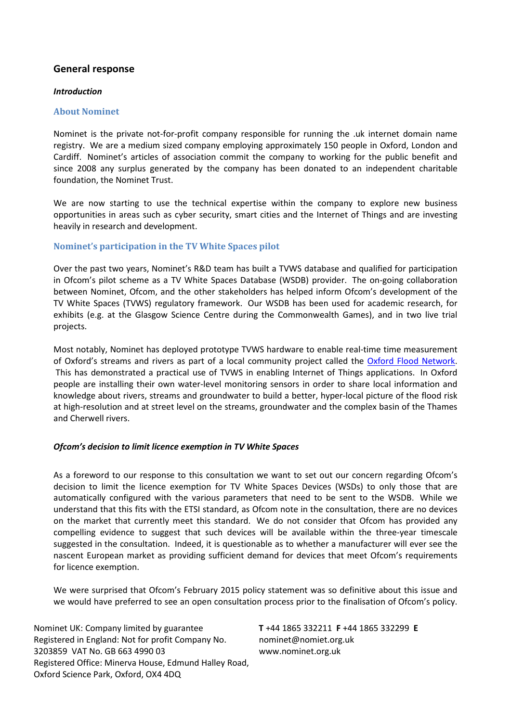# **General response**

### *Introduction*

### **About Nominet**

Nominet is the private not-for-profit company responsible for running the .uk internet domain name registry. We are a medium sized company employing approximately 150 people in Oxford, London and Cardiff. Nominet's articles of association commit the company to working for the public benefit and since 2008 any surplus generated by the company has been donated to an independent charitable foundation, the Nominet Trust.

We are now starting to use the technical expertise within the company to explore new business opportunities in areas such as cyber security, smart cities and the Internet of Things and are investing heavily in research and development.

## **Nominet's participation in the TV White Spaces pilot**

Over the past two years, Nominet's R&D team has built a TVWS database and qualified for participation in Ofcom's pilot scheme as a TV White Spaces Database (WSDB) provider. The on-going collaboration between Nominet, Ofcom, and the other stakeholders has helped inform Ofcom's development of the TV White Spaces (TVWS) regulatory framework. Our WSDB has been used for academic research, for exhibits (e.g. at the Glasgow Science Centre during the Commonwealth Games), and in two live trial projects.

Most notably, Nominet has deployed prototype TVWS hardware to enable real-time time measurement of Oxford's streams and rivers as part of a local community project called the [Oxford Flood Network.](http://oxfloodnet.co.uk/) This has demonstrated a practical use of TVWS in enabling Internet of Things applications. In Oxford people are installing their own water-level monitoring sensors in order to share local information and knowledge about rivers, streams and groundwater to build a better, hyper-local picture of the flood risk at high-resolution and at street level on the streams, groundwater and the complex basin of the Thames and Cherwell rivers.

## *Ofcom's decision to limit licence exemption in TV White Spaces*

As a foreword to our response to this consultation we want to set out our concern regarding Ofcom's decision to limit the licence exemption for TV White Spaces Devices (WSDs) to only those that are automatically configured with the various parameters that need to be sent to the WSDB. While we understand that this fits with the ETSI standard, as Ofcom note in the consultation, there are no devices on the market that currently meet this standard. We do not consider that Ofcom has provided any compelling evidence to suggest that such devices will be available within the three-year timescale suggested in the consultation. Indeed, it is questionable as to whether a manufacturer will ever see the nascent European market as providing sufficient demand for devices that meet Ofcom's requirements for licence exemption.

We were surprised that Ofcom's February 2015 policy statement was so definitive about this issue and we would have preferred to see an open consultation process prior to the finalisation of Ofcom's policy.

Nominet UK: Company limited by guarantee Registered in England: Not for profit Company No. 3203859 VAT No. GB 663 4990 03 Registered Office: Minerva House, Edmund Halley Road, Oxford Science Park, Oxford, OX4 4DQ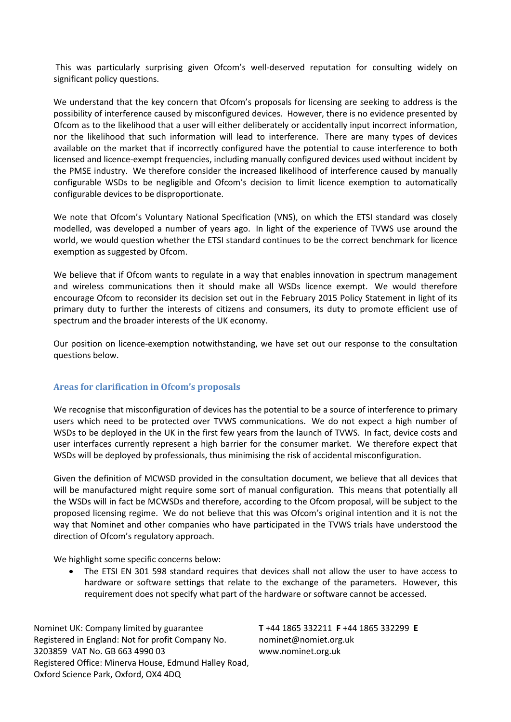This was particularly surprising given Ofcom's well-deserved reputation for consulting widely on significant policy questions.

We understand that the key concern that Ofcom's proposals for licensing are seeking to address is the possibility of interference caused by misconfigured devices. However, there is no evidence presented by Ofcom as to the likelihood that a user will either deliberately or accidentally input incorrect information, nor the likelihood that such information will lead to interference. There are many types of devices available on the market that if incorrectly configured have the potential to cause interference to both licensed and licence-exempt frequencies, including manually configured devices used without incident by the PMSE industry. We therefore consider the increased likelihood of interference caused by manually configurable WSDs to be negligible and Ofcom's decision to limit licence exemption to automatically configurable devices to be disproportionate.

We note that Ofcom's Voluntary National Specification (VNS), on which the ETSI standard was closely modelled, was developed a number of years ago. In light of the experience of TVWS use around the world, we would question whether the ETSI standard continues to be the correct benchmark for licence exemption as suggested by Ofcom.

We believe that if Ofcom wants to regulate in a way that enables innovation in spectrum management and wireless communications then it should make all WSDs licence exempt. We would therefore encourage Ofcom to reconsider its decision set out in the February 2015 Policy Statement in light of its primary duty to further the interests of citizens and consumers, its duty to promote efficient use of spectrum and the broader interests of the UK economy.

Our position on licence-exemption notwithstanding, we have set out our response to the consultation questions below.

# **Areas for clarification in Ofcom's proposals**

We recognise that misconfiguration of devices has the potential to be a source of interference to primary users which need to be protected over TVWS communications. We do not expect a high number of WSDs to be deployed in the UK in the first few years from the launch of TVWS. In fact, device costs and user interfaces currently represent a high barrier for the consumer market. We therefore expect that WSDs will be deployed by professionals, thus minimising the risk of accidental misconfiguration.

Given the definition of MCWSD provided in the consultation document, we believe that all devices that will be manufactured might require some sort of manual configuration. This means that potentially all the WSDs will in fact be MCWSDs and therefore, according to the Ofcom proposal, will be subject to the proposed licensing regime. We do not believe that this was Ofcom's original intention and it is not the way that Nominet and other companies who have participated in the TVWS trials have understood the direction of Ofcom's regulatory approach.

We highlight some specific concerns below:

• The ETSI EN 301 598 standard requires that devices shall not allow the user to have access to hardware or software settings that relate to the exchange of the parameters. However, this requirement does not specify what part of the hardware or software cannot be accessed.

Nominet UK: Company limited by guarantee Registered in England: Not for profit Company No. 3203859 VAT No. GB 663 4990 03 Registered Office: Minerva House, Edmund Halley Road, Oxford Science Park, Oxford, OX4 4DQ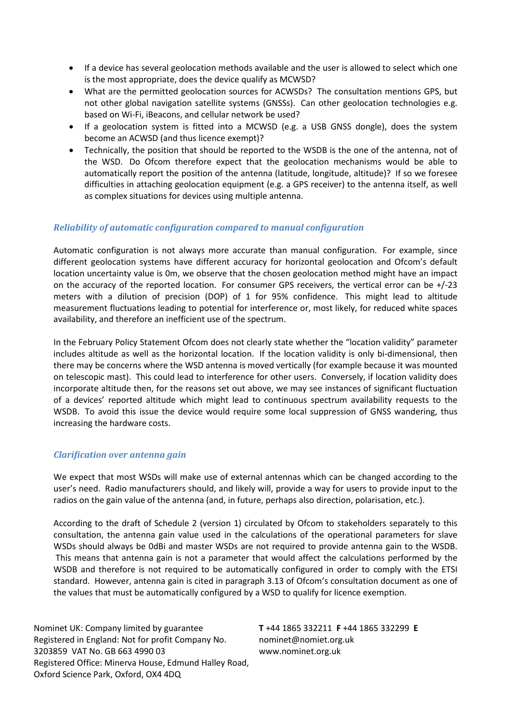- If a device has several geolocation methods available and the user is allowed to select which one is the most appropriate, does the device qualify as MCWSD?
- What are the permitted geolocation sources for ACWSDs? The consultation mentions GPS, but not other global navigation satellite systems (GNSSs). Can other geolocation technologies e.g. based on Wi-Fi, iBeacons, and cellular network be used?
- If a geolocation system is fitted into a MCWSD (e.g. a USB GNSS dongle), does the system become an ACWSD (and thus licence exempt)?
- Technically, the position that should be reported to the WSDB is the one of the antenna, not of the WSD. Do Ofcom therefore expect that the geolocation mechanisms would be able to automatically report the position of the antenna (latitude, longitude, altitude)? If so we foresee difficulties in attaching geolocation equipment (e.g. a GPS receiver) to the antenna itself, as well as complex situations for devices using multiple antenna.

# *Reliability of automatic configuration compared to manual configuration*

Automatic configuration is not always more accurate than manual configuration. For example, since different geolocation systems have different accuracy for horizontal geolocation and Ofcom's default location uncertainty value is 0m, we observe that the chosen geolocation method might have an impact on the accuracy of the reported location. For consumer GPS receivers, the vertical error can be +/-23 meters with a dilution of precision (DOP) of 1 for 95% confidence. This might lead to altitude measurement fluctuations leading to potential for interference or, most likely, for reduced white spaces availability, and therefore an inefficient use of the spectrum.

In the February Policy Statement Ofcom does not clearly state whether the "location validity" parameter includes altitude as well as the horizontal location. If the location validity is only bi-dimensional, then there may be concerns where the WSD antenna is moved vertically (for example because it was mounted on telescopic mast). This could lead to interference for other users. Conversely, if location validity does incorporate altitude then, for the reasons set out above, we may see instances of significant fluctuation of a devices' reported altitude which might lead to continuous spectrum availability requests to the WSDB. To avoid this issue the device would require some local suppression of GNSS wandering, thus increasing the hardware costs.

# *Clarification over antenna gain*

We expect that most WSDs will make use of external antennas which can be changed according to the user's need. Radio manufacturers should, and likely will, provide a way for users to provide input to the radios on the gain value of the antenna (and, in future, perhaps also direction, polarisation, etc.).

According to the draft of Schedule 2 (version 1) circulated by Ofcom to stakeholders separately to this consultation, the antenna gain value used in the calculations of the operational parameters for slave WSDs should always be 0dBi and master WSDs are not required to provide antenna gain to the WSDB. This means that antenna gain is not a parameter that would affect the calculations performed by the WSDB and therefore is not required to be automatically configured in order to comply with the ETSI standard. However, antenna gain is cited in paragraph 3.13 of Ofcom's consultation document as one of the values that must be automatically configured by a WSD to qualify for licence exemption.

Nominet UK: Company limited by guarantee Registered in England: Not for profit Company No. 3203859 VAT No. GB 663 4990 03 Registered Office: Minerva House, Edmund Halley Road, Oxford Science Park, Oxford, OX4 4DQ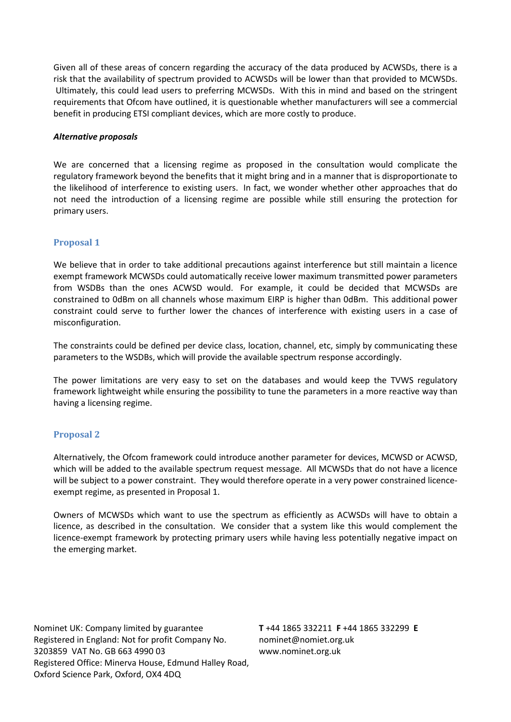Given all of these areas of concern regarding the accuracy of the data produced by ACWSDs, there is a risk that the availability of spectrum provided to ACWSDs will be lower than that provided to MCWSDs. Ultimately, this could lead users to preferring MCWSDs. With this in mind and based on the stringent requirements that Ofcom have outlined, it is questionable whether manufacturers will see a commercial benefit in producing ETSI compliant devices, which are more costly to produce.

## *Alternative proposals*

We are concerned that a licensing regime as proposed in the consultation would complicate the regulatory framework beyond the benefits that it might bring and in a manner that is disproportionate to the likelihood of interference to existing users. In fact, we wonder whether other approaches that do not need the introduction of a licensing regime are possible while still ensuring the protection for primary users.

## **Proposal 1**

We believe that in order to take additional precautions against interference but still maintain a licence exempt framework MCWSDs could automatically receive lower maximum transmitted power parameters from WSDBs than the ones ACWSD would. For example, it could be decided that MCWSDs are constrained to 0dBm on all channels whose maximum EIRP is higher than 0dBm. This additional power constraint could serve to further lower the chances of interference with existing users in a case of misconfiguration.

The constraints could be defined per device class, location, channel, etc, simply by communicating these parameters to the WSDBs, which will provide the available spectrum response accordingly.

The power limitations are very easy to set on the databases and would keep the TVWS regulatory framework lightweight while ensuring the possibility to tune the parameters in a more reactive way than having a licensing regime.

## **Proposal 2**

Alternatively, the Ofcom framework could introduce another parameter for devices, MCWSD or ACWSD, which will be added to the available spectrum request message. All MCWSDs that do not have a licence will be subject to a power constraint. They would therefore operate in a very power constrained licenceexempt regime, as presented in Proposal 1.

Owners of MCWSDs which want to use the spectrum as efficiently as ACWSDs will have to obtain a licence, as described in the consultation. We consider that a system like this would complement the licence-exempt framework by protecting primary users while having less potentially negative impact on the emerging market.

Nominet UK: Company limited by guarantee Registered in England: Not for profit Company No. 3203859 VAT No. GB 663 4990 03 Registered Office: Minerva House, Edmund Halley Road, Oxford Science Park, Oxford, OX4 4DQ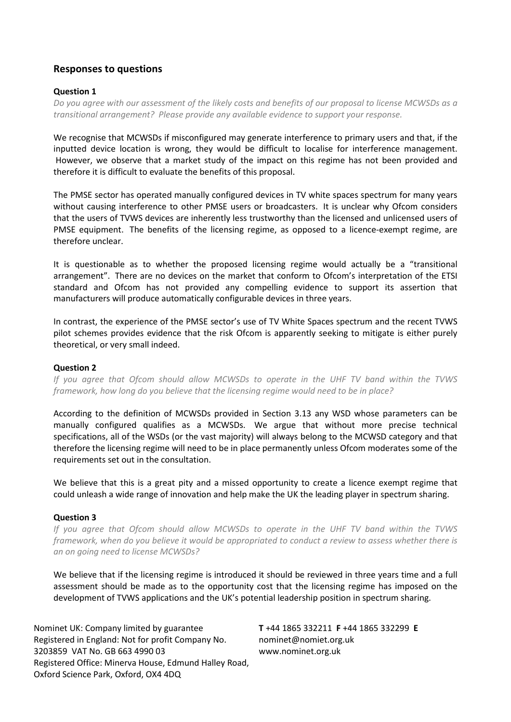# **Responses to questions**

## **Question 1**

*Do you agree with our assessment of the likely costs and benefits of our proposal to license MCWSDs as a transitional arrangement? Please provide any available evidence to support your response.*

We recognise that MCWSDs if misconfigured may generate interference to primary users and that, if the inputted device location is wrong, they would be difficult to localise for interference management. However, we observe that a market study of the impact on this regime has not been provided and therefore it is difficult to evaluate the benefits of this proposal.

The PMSE sector has operated manually configured devices in TV white spaces spectrum for many years without causing interference to other PMSE users or broadcasters. It is unclear why Ofcom considers that the users of TVWS devices are inherently less trustworthy than the licensed and unlicensed users of PMSE equipment. The benefits of the licensing regime, as opposed to a licence-exempt regime, are therefore unclear.

It is questionable as to whether the proposed licensing regime would actually be a "transitional arrangement". There are no devices on the market that conform to Ofcom's interpretation of the ETSI standard and Ofcom has not provided any compelling evidence to support its assertion that manufacturers will produce automatically configurable devices in three years.

In contrast, the experience of the PMSE sector's use of TV White Spaces spectrum and the recent TVWS pilot schemes provides evidence that the risk Ofcom is apparently seeking to mitigate is either purely theoretical, or very small indeed.

# **Question 2**

*If you agree that Ofcom should allow MCWSDs to operate in the UHF TV band within the TVWS framework, how long do you believe that the licensing regime would need to be in place?* 

According to the definition of MCWSDs provided in Section 3.13 any WSD whose parameters can be manually configured qualifies as a MCWSDs. We argue that without more precise technical specifications, all of the WSDs (or the vast majority) will always belong to the MCWSD category and that therefore the licensing regime will need to be in place permanently unless Ofcom moderates some of the requirements set out in the consultation.

We believe that this is a great pity and a missed opportunity to create a licence exempt regime that could unleash a wide range of innovation and help make the UK the leading player in spectrum sharing.

## **Question 3**

*If you agree that Ofcom should allow MCWSDs to operate in the UHF TV band within the TVWS framework, when do you believe it would be appropriated to conduct a review to assess whether there is an on going need to license MCWSDs?*

We believe that if the licensing regime is introduced it should be reviewed in three years time and a full assessment should be made as to the opportunity cost that the licensing regime has imposed on the development of TVWS applications and the UK's potential leadership position in spectrum sharing.

Nominet UK: Company limited by guarantee Registered in England: Not for profit Company No. 3203859 VAT No. GB 663 4990 03 Registered Office: Minerva House, Edmund Halley Road, Oxford Science Park, Oxford, OX4 4DQ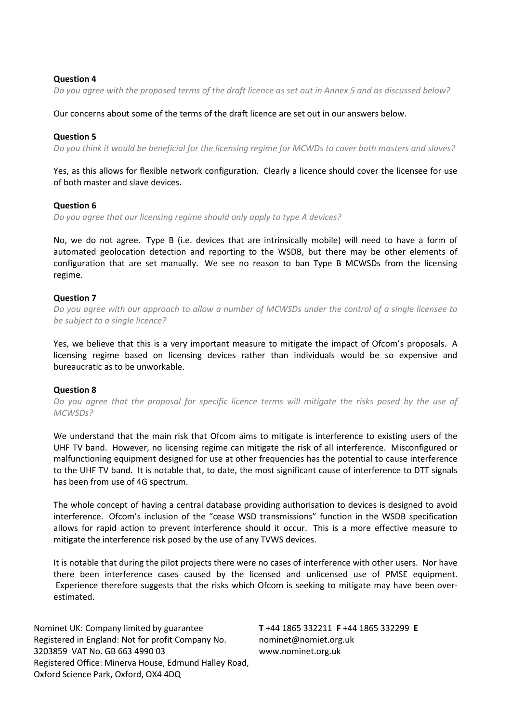#### **Question 4**

*Do you agree with the proposed terms of the draft licence as set out in Annex 5 and as discussed below?*

Our concerns about some of the terms of the draft licence are set out in our answers below.

#### **Question 5**

*Do you think it would be beneficial for the licensing regime for MCWDs to cover both masters and slaves?*

Yes, as this allows for flexible network configuration. Clearly a licence should cover the licensee for use of both master and slave devices.

## **Question 6**

*Do you agree that our licensing regime should only apply to type A devices?*

No, we do not agree. Type B (i.e. devices that are intrinsically mobile) will need to have a form of automated geolocation detection and reporting to the WSDB, but there may be other elements of configuration that are set manually. We see no reason to ban Type B MCWSDs from the licensing regime.

### **Question 7**

*Do you agree with our approach to allow a number of MCWSDs under the control of a single licensee to be subject to a single licence?*

Yes, we believe that this is a very important measure to mitigate the impact of Ofcom's proposals. A licensing regime based on licensing devices rather than individuals would be so expensive and bureaucratic as to be unworkable.

## **Question 8**

*Do you agree that the proposal for specific licence terms will mitigate the risks posed by the use of MCWSDs?*

We understand that the main risk that Ofcom aims to mitigate is interference to existing users of the UHF TV band. However, no licensing regime can mitigate the risk of all interference. Misconfigured or malfunctioning equipment designed for use at other frequencies has the potential to cause interference to the UHF TV band. It is notable that, to date, the most significant cause of interference to DTT signals has been from use of 4G spectrum.

The whole concept of having a central database providing authorisation to devices is designed to avoid interference. Ofcom's inclusion of the "cease WSD transmissions" function in the WSDB specification allows for rapid action to prevent interference should it occur. This is a more effective measure to mitigate the interference risk posed by the use of any TVWS devices.

It is notable that during the pilot projects there were no cases of interference with other users. Nor have there been interference cases caused by the licensed and unlicensed use of PMSE equipment. Experience therefore suggests that the risks which Ofcom is seeking to mitigate may have been overestimated.

Nominet UK: Company limited by guarantee Registered in England: Not for profit Company No. 3203859 VAT No. GB 663 4990 03 Registered Office: Minerva House, Edmund Halley Road, Oxford Science Park, Oxford, OX4 4DQ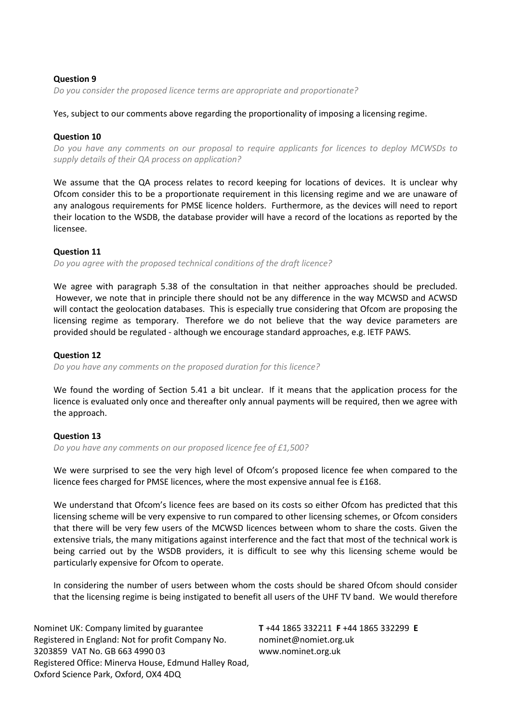## **Question 9**

*Do you consider the proposed licence terms are appropriate and proportionate?*

## Yes, subject to our comments above regarding the proportionality of imposing a licensing regime.

### **Question 10**

*Do you have any comments on our proposal to require applicants for licences to deploy MCWSDs to supply details of their QA process on application?*

We assume that the QA process relates to record keeping for locations of devices. It is unclear why Ofcom consider this to be a proportionate requirement in this licensing regime and we are unaware of any analogous requirements for PMSE licence holders. Furthermore, as the devices will need to report their location to the WSDB, the database provider will have a record of the locations as reported by the licensee.

## **Question 11**

*Do you agree with the proposed technical conditions of the draft licence?*

We agree with paragraph 5.38 of the consultation in that neither approaches should be precluded. However, we note that in principle there should not be any difference in the way MCWSD and ACWSD will contact the geolocation databases. This is especially true considering that Ofcom are proposing the licensing regime as temporary. Therefore we do not believe that the way device parameters are provided should be regulated - although we encourage standard approaches, e.g. IETF PAWS.

## **Question 12**

*Do you have any comments on the proposed duration for this licence?* 

We found the wording of Section 5.41 a bit unclear. If it means that the application process for the licence is evaluated only once and thereafter only annual payments will be required, then we agree with the approach.

#### **Question 13**

*Do you have any comments on our proposed licence fee of £1,500?*

We were surprised to see the very high level of Ofcom's proposed licence fee when compared to the licence fees charged for PMSE licences, where the most expensive annual fee is £168.

We understand that Ofcom's licence fees are based on its costs so either Ofcom has predicted that this licensing scheme will be very expensive to run compared to other licensing schemes, or Ofcom considers that there will be very few users of the MCWSD licences between whom to share the costs. Given the extensive trials, the many mitigations against interference and the fact that most of the technical work is being carried out by the WSDB providers, it is difficult to see why this licensing scheme would be particularly expensive for Ofcom to operate.

In considering the number of users between whom the costs should be shared Ofcom should consider that the licensing regime is being instigated to benefit all users of the UHF TV band. We would therefore

Nominet UK: Company limited by guarantee Registered in England: Not for profit Company No. 3203859 VAT No. GB 663 4990 03 Registered Office: Minerva House, Edmund Halley Road, Oxford Science Park, Oxford, OX4 4DQ